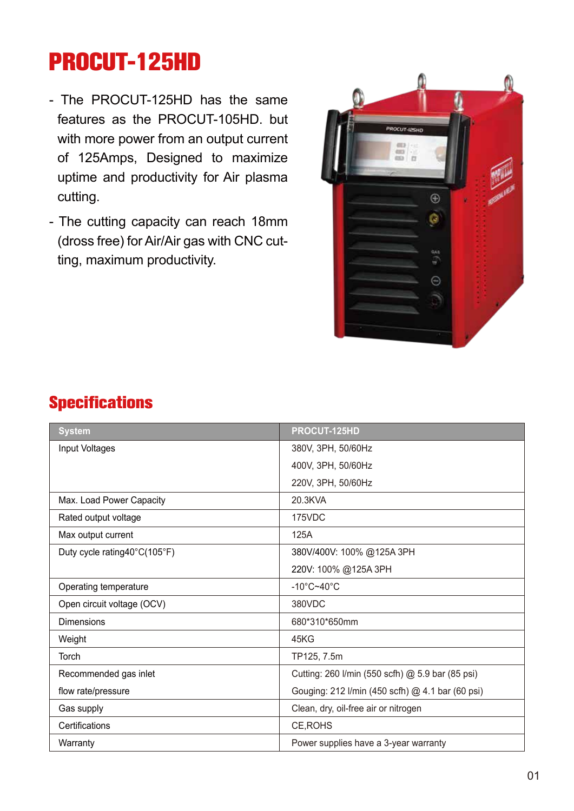# **PROCUT-125HD**

- The PROCUT-125HD has the same features as the PROCUT-105HD. but with more power from an output current of 125Amps, Designed to maximize uptime and productivity for Air plasma cutting.
- The cutting capacity can reach 18mm (dross free) for Air/Air gas with CNC cutting, maximum productivity.



## **Specifications**

| <b>System</b>                | PROCUT-125HD                                     |  |
|------------------------------|--------------------------------------------------|--|
| Input Voltages               | 380V, 3PH, 50/60Hz                               |  |
|                              | 400V, 3PH, 50/60Hz                               |  |
|                              | 220V, 3PH, 50/60Hz                               |  |
| Max. Load Power Capacity     | 20.3KVA                                          |  |
| Rated output voltage         | 175VDC                                           |  |
| Max output current           | 125A                                             |  |
| Duty cycle rating40°C(105°F) | 380V/400V: 100% @125A 3PH                        |  |
|                              | 220V: 100% @125A 3PH                             |  |
| Operating temperature        | $-10^{\circ}$ C~40 $^{\circ}$ C                  |  |
| Open circuit voltage (OCV)   | 380VDC                                           |  |
| <b>Dimensions</b>            | 680*310*650mm                                    |  |
| Weight                       | 45KG                                             |  |
| Torch                        | TP125, 7.5m                                      |  |
| Recommended gas inlet        | Cutting: 260 I/min (550 scfh) @ 5.9 bar (85 psi) |  |
| flow rate/pressure           | Gouging: 212 I/min (450 scfh) @ 4.1 bar (60 psi) |  |
| Gas supply                   | Clean, dry, oil-free air or nitrogen             |  |
| Certifications               | CE, ROHS                                         |  |
| Warranty                     | Power supplies have a 3-year warranty            |  |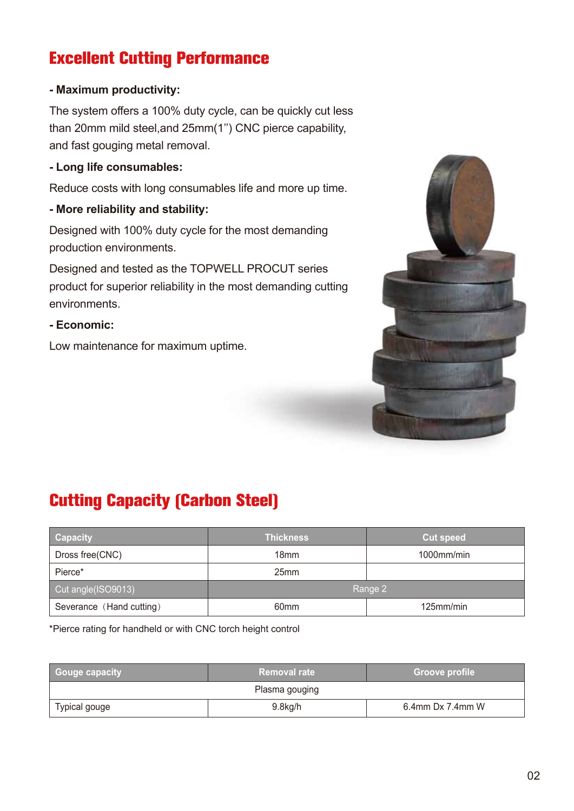# **Excellent Cutting Performance**

#### **- Maximum productivity:**

The system offers a 100% duty cycle, can be quickly cut less than 20mm mild steel,and 25mm(1'') CNC pierce capability, and fast gouging metal removal.

#### **- Long life consumables:**

Reduce costs with long consumables life and more up time.

#### **- More reliability and stability:**

Designed with 100% duty cycle for the most demanding production environments.

Designed and tested as the TOPWELL PROCUT series product for superior reliability in the most demanding cutting environments.

**- Economic:** 

Low maintenance for maximum uptime.



# **Cutting Capacity (Carbon Steel)**

| <b>Capacity</b>          | <b>Thickness</b> | <b>Cut speed</b> |
|--------------------------|------------------|------------------|
| Dross free(CNC)          | 18 <sub>mm</sub> | 1000mm/min       |
| Pierce*                  | 25 <sub>mm</sub> |                  |
| Cut angle(ISO9013)       | Range 2          |                  |
| Severance (Hand cutting) | 60 <sub>mm</sub> | 125mm/min        |

\*Pierce rating for handheld or with CNC torch height control

| Gouge capacity | <b>Removal rate</b> | <b>Groove profile</b> |  |
|----------------|---------------------|-----------------------|--|
| Plasma gouging |                     |                       |  |
| Typical gouge  | $9.8$ kg/h          | $6.4$ mm Dx 7.4mm W   |  |